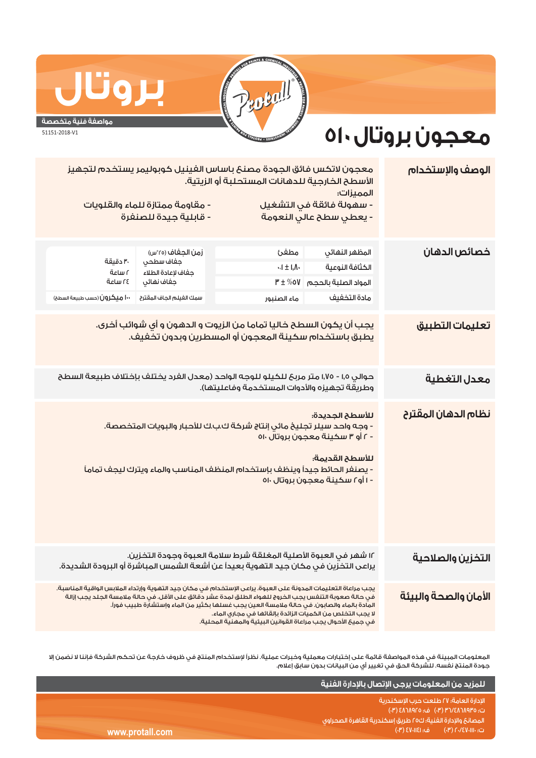

## <u>بروت</u>

## **مواصفة فنية متخصصة**

51151-2018-V1

## **معجون بروتال٥١٠**

| الوصف والإستخدام             | معجون لاتكس فائق الجودة مصنع باساس الفينيل كوبوليمر يستخدم لتجهيز<br>الأسطح الخارجية للدهانات المستحلبة أو الزيتية.<br>المميزات:                                                                                                                                                                                                                                                                                                                      |                                                                        |                                                                                                |                                                                      |  |  |
|------------------------------|-------------------------------------------------------------------------------------------------------------------------------------------------------------------------------------------------------------------------------------------------------------------------------------------------------------------------------------------------------------------------------------------------------------------------------------------------------|------------------------------------------------------------------------|------------------------------------------------------------------------------------------------|----------------------------------------------------------------------|--|--|
|                              | - سهولة فائقة في التشغيل<br>- مقاومة ممتازة للماء والقلويات<br>- قابلية جيدة للصنفرة<br>- يعطى سطح عالى النعومة                                                                                                                                                                                                                                                                                                                                       |                                                                        |                                                                                                |                                                                      |  |  |
| خصائص الدهان                 | المظهر النهائى<br>الكثافة النوعية<br>المواد الصلبة بالحجم<br>مادة التخفيف                                                                                                                                                                                                                                                                                                                                                                             | مطفئ<br>$\mathcal{A} \pm \mathcal{I}$<br>$P' \pm \%$ וס<br>ماء الصنبور | زمن الجغاف (٢٥°س)<br>جفاف سطحى<br>جفاف لإعادة الطلاء<br>جفاف نهائى<br>سمك الفيلم الجاف المقترح | ٣٠ دقيقة<br>۲ ساعة<br>٢٤ ساعة<br><b>۱۰۰ میکرون</b> (حسب طبیعة السطح) |  |  |
| <mark>تعليمات التطبيق</mark> | يجب أن يكون السطح خاليا تماما من الزيوت و الدهون و أي شوائب أخرى.<br>يطبق باستخدام سكينة المعجون أو المسطرين وبدون تخفيف.                                                                                                                                                                                                                                                                                                                             |                                                                        |                                                                                                |                                                                      |  |  |
| معدل التغطية                 | حوالي ١,٥ - ١,٧٥ متر مربحَ للكيلو للوجه الواحد (معدل الفرد يختلف بإختلاف طبيعة السطح<br>وطريقَة تجهيزه والأدوات المستخدمة وفاعليتها).                                                                                                                                                                                                                                                                                                                 |                                                                        |                                                                                                |                                                                      |  |  |
| نظام الدهان المقترح          | للأسطح الجديدة:<br>- وجه واحد سيلر تجليخ مائي إنتاج شركة ك.ب.ك للأحبار والبويات المتخصصة.<br>- ٢ أو ٣ سكينة معجون بروتال ٥١٠<br>للأسطح القديمة:<br>- يصنفر الحائط جيداً وينظف بإستخدام المنظف المناسب والماء ويترك ليجف تماماً<br>- ۱ أو ۲ سكينة معجون بروتال ٥١٠                                                                                                                                                                                     |                                                                        |                                                                                                |                                                                      |  |  |
| التخزين والصلاحية            | ١٢ شهر في العبوة الأصلية المغلقة شرط سلامة العبوة وجودة التخزين.<br>يراعى التخزين في مكان جيد التهوية بعيداً عن أشعة الشمس المباشرة أو البرودة الشديدة.                                                                                                                                                                                                                                                                                               |                                                                        |                                                                                                |                                                                      |  |  |
| الأمان والصحة والبيئة        | يجب مراعاة التعليمات المدونة على العبوة. يراعى الإستخدام في مكان جيد التهوية وإرتداء الملابس الواقية المناسبة.<br>فى حالة صعوبة التنفس يجب الخروج للهواء الطلق لمدة عشر دقائق على الأقل. فى حالة ملامسة الجلد يجب إزالة<br>المادة بالماء والصابون. في حالة ملامسة العين يجب غسلها بكثير من الماء وإستشارة طبيب فوراً.<br>لا يجب التخلص من الكميات الزائدة بالقائها فى مجارى الماء.<br>في حميـًا الأحوال بحب مراعاة القوانين البيئية والمهنية المحلية. |                                                                        |                                                                                                |                                                                      |  |  |

المعلومات المبينة في هذه المواصفة قائمة على إختبارات معملية وخبرات عملية. نظراً لإستخدام المنتج في ظروف خارجة عن تحكم الشركة فإننا لا نضمن إلا جودة المنتج نفسه. للشركة الحق في تغيير أي من البيانات بدون سابق إعلام.

|                 | للمزيد من المعلومات يرجى الإتصال بالإدارة الفنية                                |
|-----------------|---------------------------------------------------------------------------------|
|                 | الإدارة العامة؛ ٢٧ طلعت حرب الإسكندرية<br>ت: ٣٥٨٦٨٩٣٥/٣١ (٣٠)   ف: ٤٨٦٨٩٢٥ (٣٠) |
|                 | المصانع والإدارة الفنية؛ ك٥٥ طريق إسكندرية القاهرة الصحراوى                     |
| www.protall.com | ف: SV-IIEI) 8<br>, ت: ۲۰/٤۷۰۱۱۱۰ (۳۰)                                           |